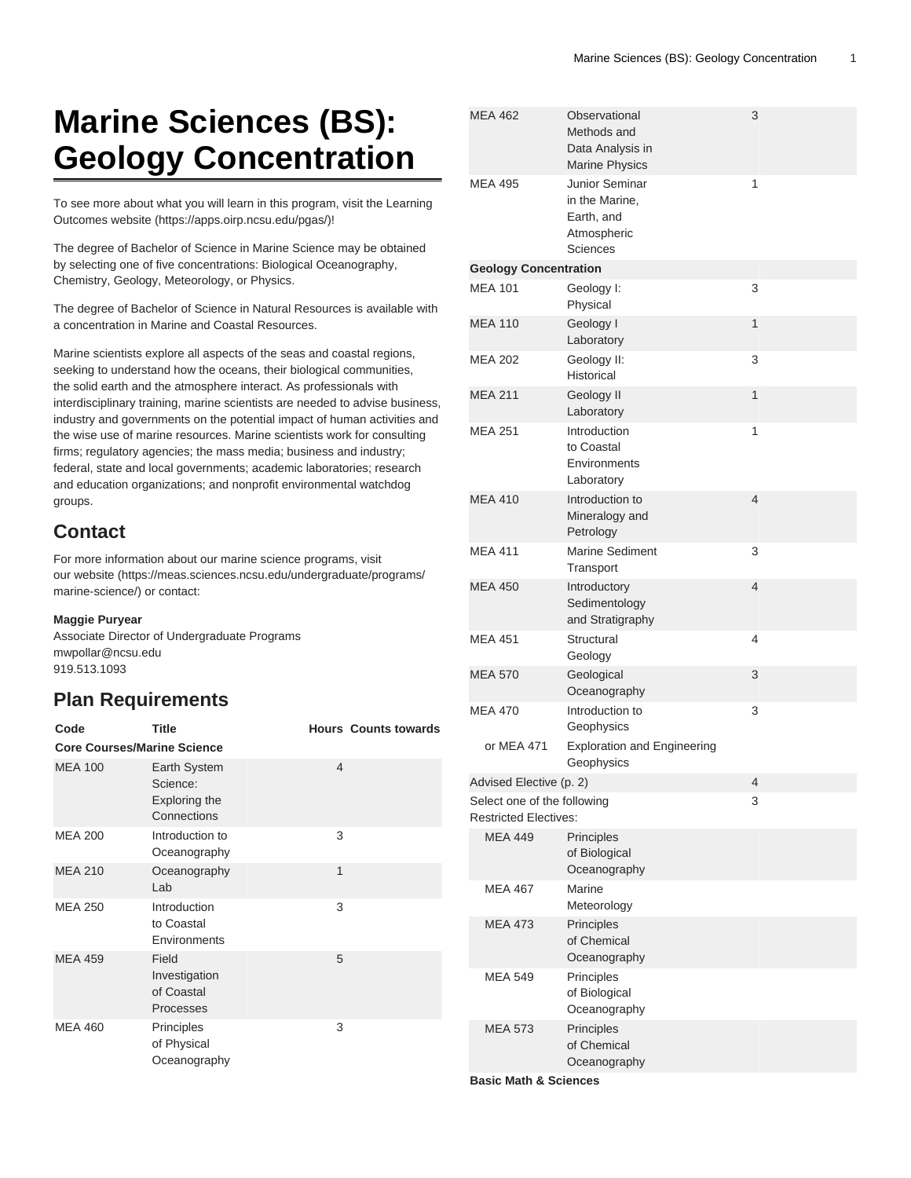# **Marine Sciences (BS): Geology Concentration**

To see more about what you will learn in this program, visit the [Learning](https://apps.oirp.ncsu.edu/pgas/) [Outcomes website](https://apps.oirp.ncsu.edu/pgas/) (<https://apps.oirp.ncsu.edu/pgas/>)!

The degree of Bachelor of Science in Marine Science may be obtained by selecting one of five concentrations: Biological Oceanography, Chemistry, Geology, Meteorology, or Physics.

The degree of Bachelor of Science in Natural Resources is available with a concentration in Marine and Coastal Resources.

Marine scientists explore all aspects of the seas and coastal regions, seeking to understand how the oceans, their biological communities, the solid earth and the atmosphere interact. As professionals with interdisciplinary training, marine scientists are needed to advise business, industry and governments on the potential impact of human activities and the wise use of marine resources. Marine scientists work for consulting firms; regulatory agencies; the mass media; business and industry; federal, state and local governments; academic laboratories; research and education organizations; and nonprofit environmental watchdog groups.

#### **Contact**

For more information about our marine science programs, visit our [website](https://meas.sciences.ncsu.edu/undergraduate/programs/marine-science/) ([https://meas.sciences.ncsu.edu/undergraduate/programs/](https://meas.sciences.ncsu.edu/undergraduate/programs/marine-science/) [marine-science/](https://meas.sciences.ncsu.edu/undergraduate/programs/marine-science/)) or contact:

#### **Maggie Puryear**

Associate Director of Undergraduate Programs [mwpollar@ncsu.edu](mailto:mwpollar@ncsu.edu) 919.513.1093

#### <span id="page-0-0"></span>**Plan Requirements**

| Code                               | <b>Title</b>                                             |                | <b>Hours Counts towards</b> |
|------------------------------------|----------------------------------------------------------|----------------|-----------------------------|
| <b>Core Courses/Marine Science</b> |                                                          |                |                             |
| <b>MEA 100</b>                     | Earth System<br>Science:<br>Exploring the<br>Connections | $\overline{4}$ |                             |
| <b>MEA 200</b>                     | Introduction to<br>Oceanography                          | 3              |                             |
| <b>MEA 210</b>                     | Oceanography<br>Lab                                      | 1              |                             |
| <b>MEA 250</b>                     | Introduction<br>to Coastal<br>Environments               | 3              |                             |
| <b>MEA 459</b>                     | Field<br>Investigation<br>of Coastal<br>Processes        | 5              |                             |
| <b>MEA 460</b>                     | Principles<br>of Physical<br>Oceanography                | 3              |                             |

| <b>MEA 462</b>                                              | Observational<br>Methods and<br>Data Analysis in<br><b>Marine Physics</b> | 3 |
|-------------------------------------------------------------|---------------------------------------------------------------------------|---|
| <b>MEA 495</b>                                              | Junior Seminar<br>in the Marine,<br>Earth, and<br>Atmospheric<br>Sciences | 1 |
| <b>Geology Concentration</b>                                |                                                                           |   |
| <b>MEA 101</b>                                              | Geology I:<br>Physical                                                    | 3 |
| <b>MEA 110</b>                                              | Geology I<br>Laboratory                                                   | 1 |
| <b>MEA 202</b>                                              | Geology II:<br><b>Historical</b>                                          | 3 |
| <b>MEA 211</b>                                              | Geology II<br>Laboratory                                                  | 1 |
| <b>MEA 251</b>                                              | Introduction<br>to Coastal<br>Environments<br>Laboratory                  | 1 |
| <b>MEA 410</b>                                              | Introduction to<br>Mineralogy and<br>Petrology                            | 4 |
| <b>MEA 411</b>                                              | <b>Marine Sediment</b><br>Transport                                       | 3 |
| <b>MEA 450</b>                                              | Introductory<br>Sedimentology<br>and Stratigraphy                         | 4 |
| <b>MEA 451</b>                                              | Structural<br>Geology                                                     | 4 |
| <b>MEA 570</b>                                              | Geological<br>Oceanography                                                | 3 |
| MEA 470                                                     | Introduction to<br>Geophysics                                             | 3 |
| or MEA 471                                                  | <b>Exploration and Engineering</b><br>Geophysics                          |   |
| Advised Elective (p. 2)                                     |                                                                           | 4 |
| Select one of the following<br><b>Restricted Electives:</b> |                                                                           | 3 |
| <b>MEA 449</b>                                              | Principles<br>of Biological<br>Oceanography                               |   |
| MEA 467                                                     | Marine<br>Meteorology                                                     |   |
| <b>MEA 473</b>                                              | Principles<br>of Chemical<br>Oceanography                                 |   |
| <b>MEA 549</b>                                              | Principles<br>of Biological<br>Oceanography                               |   |
| <b>MEA 573</b>                                              | Principles<br>of Chemical<br>Oceanography                                 |   |
|                                                             |                                                                           |   |

**Basic Math & Sciences**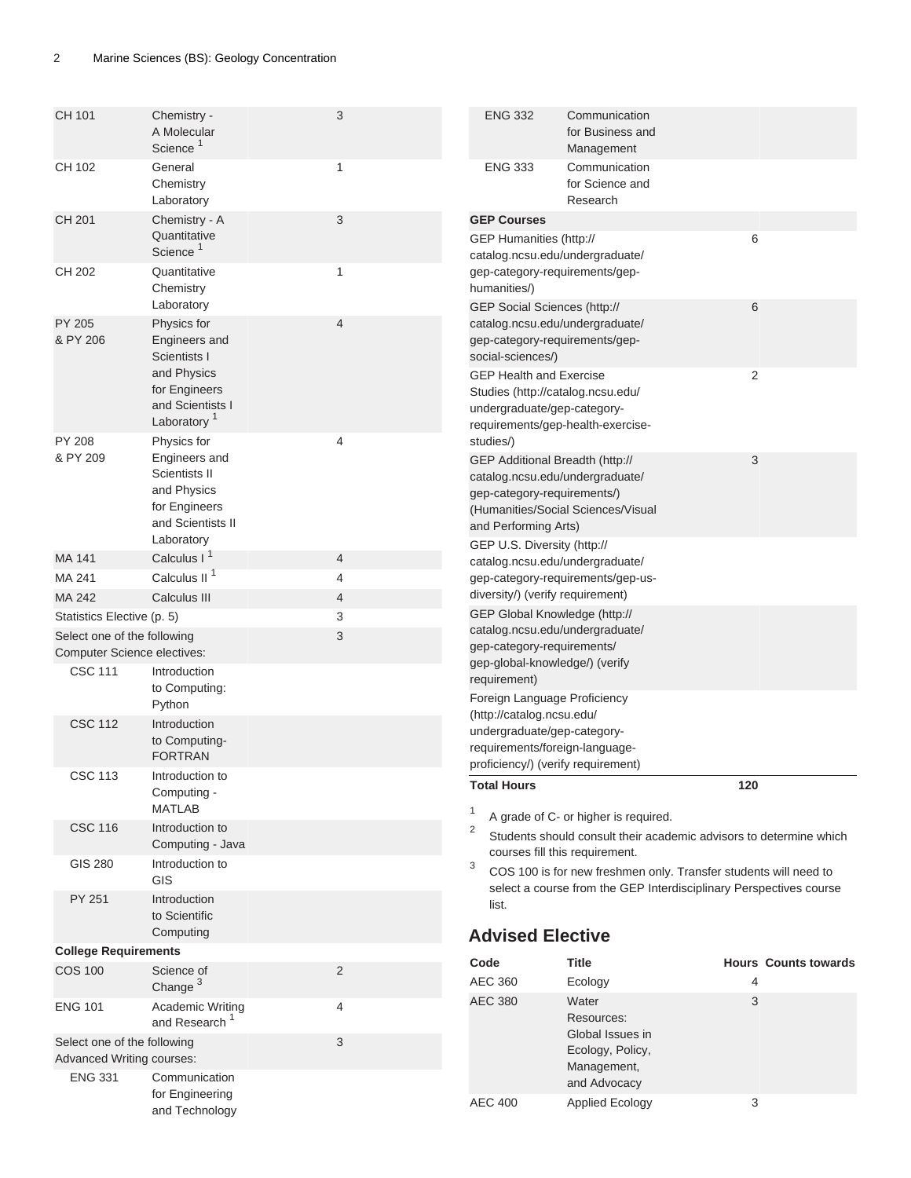<span id="page-1-0"></span>

| CH 101                                                            | Chemistry -<br>A Molecular<br>Science <sup>1</sup>                                                               | 3              | <b>ENG 332</b>                                                   | Communication<br>for Business and<br>Management                                                          |                                                                                                                                        |
|-------------------------------------------------------------------|------------------------------------------------------------------------------------------------------------------|----------------|------------------------------------------------------------------|----------------------------------------------------------------------------------------------------------|----------------------------------------------------------------------------------------------------------------------------------------|
| CH 102                                                            | General<br>Chemistry<br>Laboratory                                                                               | 1              | <b>ENG 333</b>                                                   | Communication<br>for Science and<br>Research                                                             |                                                                                                                                        |
| CH 201                                                            | Chemistry - A<br>Quantitative<br>Science <sup>1</sup>                                                            | 3              | <b>GEP Courses</b><br>GEP Humanities (http://                    | catalog.ncsu.edu/undergraduate/                                                                          | 6                                                                                                                                      |
| CH 202                                                            | Quantitative<br>Chemistry<br>Laboratory                                                                          | 1              | humanities/)<br>GEP Social Sciences (http://                     | gep-category-requirements/gep-                                                                           | 6                                                                                                                                      |
| PY 205<br>& PY 206                                                | Physics for<br>Engineers and<br>Scientists I                                                                     | 4              | social-sciences/)                                                | catalog.ncsu.edu/undergraduate/<br>gep-category-requirements/gep-                                        |                                                                                                                                        |
|                                                                   | and Physics<br>for Engineers<br>and Scientists I<br>Laboratory <sup>1</sup>                                      |                | <b>GEP Health and Exercise</b><br>undergraduate/gep-category-    | Studies (http://catalog.ncsu.edu/<br>requirements/gep-health-exercise-                                   | $\overline{2}$                                                                                                                         |
| PY 208<br>& PY 209                                                | Physics for<br>Engineers and<br>Scientists II<br>and Physics<br>for Engineers<br>and Scientists II<br>Laboratory | 4              | studies/)<br>gep-category-requirements/)<br>and Performing Arts) | GEP Additional Breadth (http://<br>catalog.ncsu.edu/undergraduate/<br>(Humanities/Social Sciences/Visual | 3                                                                                                                                      |
| MA 141                                                            | Calculus I <sup>1</sup>                                                                                          | 4              | GEP U.S. Diversity (http://                                      | catalog.ncsu.edu/undergraduate/                                                                          |                                                                                                                                        |
| MA 241                                                            | Calculus II <sup>1</sup>                                                                                         | 4              |                                                                  | gep-category-requirements/gep-us-                                                                        |                                                                                                                                        |
| MA 242                                                            | Calculus III                                                                                                     | 4              | diversity/) (verify requirement)                                 |                                                                                                          |                                                                                                                                        |
| Statistics Elective (p. 5)                                        |                                                                                                                  | 3              |                                                                  | GEP Global Knowledge (http://                                                                            |                                                                                                                                        |
| Select one of the following<br><b>Computer Science electives:</b> |                                                                                                                  | 3              | gep-category-requirements/<br>gep-global-knowledge/) (verify     | catalog.ncsu.edu/undergraduate/                                                                          |                                                                                                                                        |
| <b>CSC 111</b>                                                    | Introduction<br>to Computing:<br>Python                                                                          |                | requirement)<br>Foreign Language Proficiency                     |                                                                                                          |                                                                                                                                        |
| <b>CSC 112</b>                                                    | Introduction<br>to Computing-<br><b>FORTRAN</b>                                                                  |                | (http://catalog.ncsu.edu/<br>undergraduate/gep-category-         | requirements/foreign-language-<br>proficiency/) (verify requirement)                                     |                                                                                                                                        |
| <b>CSC 113</b>                                                    | Introduction to<br>Computing -<br>MATLAB                                                                         |                | <b>Total Hours</b><br>$\mathbf{1}$                               | A grade of C- or higher is required.                                                                     | 120                                                                                                                                    |
| <b>CSC 116</b>                                                    | Introduction to<br>Computing - Java                                                                              |                | $\overline{2}$                                                   | courses fill this requirement.                                                                           | Students should consult their academic advisors to determine which                                                                     |
| <b>GIS 280</b>                                                    | Introduction to<br>GIS                                                                                           |                | 3                                                                |                                                                                                          | COS 100 is for new freshmen only. Transfer students will need to<br>select a course from the GEP Interdisciplinary Perspectives course |
| PY 251                                                            | Introduction<br>to Scientific<br>Computing                                                                       |                | list.                                                            |                                                                                                          |                                                                                                                                        |
| <b>College Requirements</b>                                       |                                                                                                                  |                | <b>Advised Elective</b>                                          |                                                                                                          |                                                                                                                                        |
| <b>COS 100</b>                                                    | Science of<br>Change <sup>3</sup>                                                                                | $\overline{2}$ | Code<br><b>AEC 360</b>                                           | <b>Title</b><br>Ecology                                                                                  | <b>Hours Counts towards</b><br>4                                                                                                       |
| <b>ENG 101</b>                                                    | Academic Writing<br>and Research <sup>1</sup>                                                                    | 4              | <b>AEC 380</b>                                                   | Water<br>Resources:<br>Global Issues in                                                                  | 3                                                                                                                                      |
| Select one of the following<br>Advanced Writing courses:          |                                                                                                                  | 3              |                                                                  | Ecology, Policy,<br>Management,                                                                          |                                                                                                                                        |
| <b>ENG 331</b>                                                    | Communication<br>for Engineering<br>and Technology                                                               |                | <b>AEC 400</b>                                                   | and Advocacy<br><b>Applied Ecology</b>                                                                   | 3                                                                                                                                      |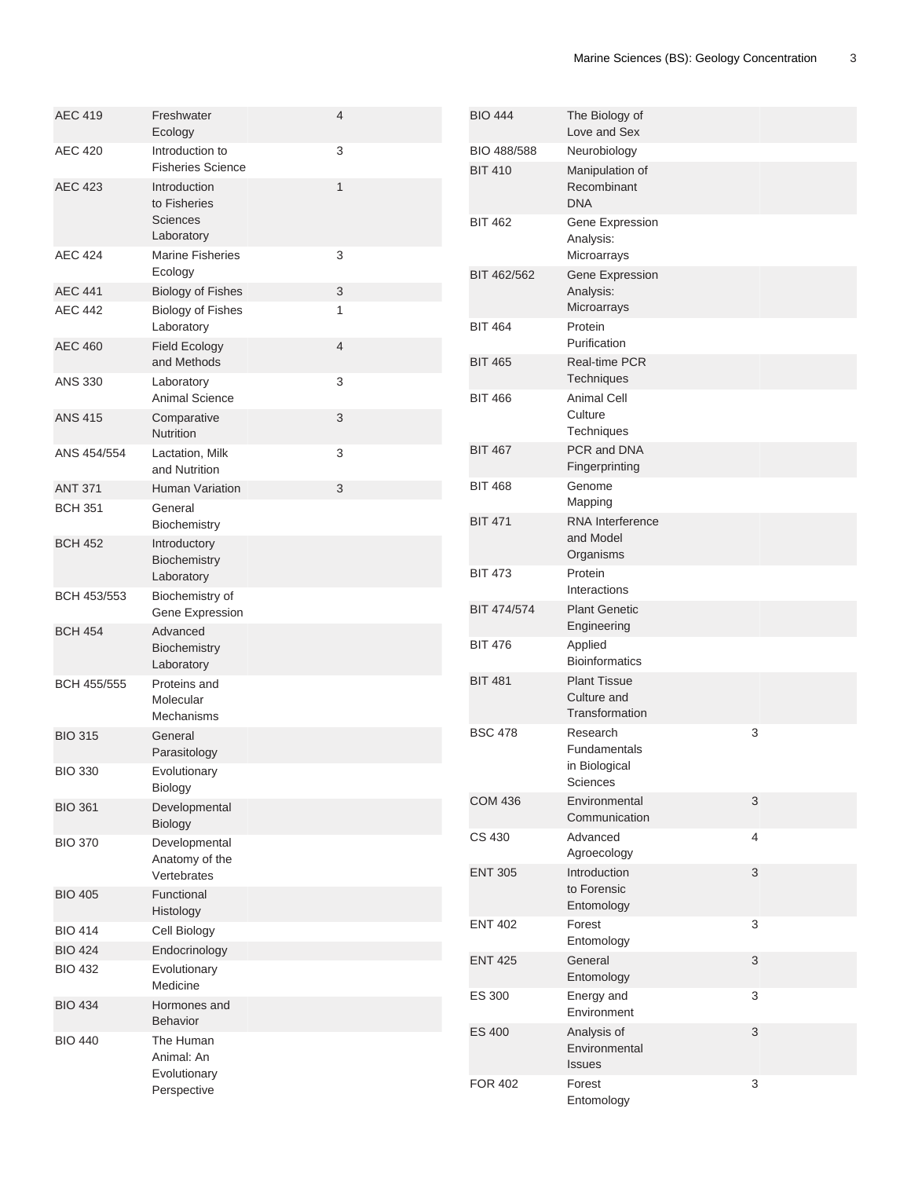| <b>AEC 419</b> | Freshwater<br>Ecology                                         | 4              |
|----------------|---------------------------------------------------------------|----------------|
| <b>AEC 420</b> | Introduction to<br><b>Fisheries Science</b>                   | 3              |
| <b>AEC 423</b> | Introduction<br>to Fisheries<br><b>Sciences</b><br>Laboratory | 1              |
| <b>AEC 424</b> | <b>Marine Fisheries</b><br>Ecology                            | 3              |
| <b>AEC 441</b> | <b>Biology of Fishes</b>                                      | 3              |
| <b>AEC 442</b> | <b>Biology of Fishes</b><br>Laboratory                        | 1              |
| <b>AEC 460</b> | <b>Field Ecology</b><br>and Methods                           | $\overline{4}$ |
| <b>ANS 330</b> | Laboratory<br><b>Animal Science</b>                           | 3              |
| <b>ANS 415</b> | Comparative<br>Nutrition                                      | 3              |
| ANS 454/554    | Lactation, Milk<br>and Nutrition                              | 3              |
| <b>ANT 371</b> | <b>Human Variation</b>                                        | 3              |
| <b>BCH 351</b> | General<br>Biochemistry                                       |                |
| <b>BCH 452</b> | Introductory<br>Biochemistry<br>Laboratory                    |                |
| BCH 453/553    | Biochemistry of<br>Gene Expression                            |                |
| <b>BCH 454</b> | Advanced<br>Biochemistry<br>Laboratory                        |                |
| BCH 455/555    | Proteins and<br>Molecular<br>Mechanisms                       |                |
| <b>BIO 315</b> | General<br>Parasitology                                       |                |
| <b>BIO 330</b> | Evolutionary<br>Biology                                       |                |
| <b>BIO 361</b> | Developmental<br>Biology                                      |                |
| <b>BIO 370</b> | Developmental<br>Anatomy of the<br>Vertebrates                |                |
| <b>BIO 405</b> | Functional<br>Histology                                       |                |
| <b>BIO 414</b> | Cell Biology                                                  |                |
| <b>BIO 424</b> | Endocrinology                                                 |                |
| <b>BIO 432</b> | Evolutionary<br>Medicine                                      |                |
| <b>BIO 434</b> | Hormones and<br>Behavior                                      |                |
| <b>BIO 440</b> | The Human<br>Animal: An<br>Evolutionary<br>Perspective        |                |

| <b>BIO 444</b> | The Biology of<br>Love and Sex                               |   |
|----------------|--------------------------------------------------------------|---|
| BIO 488/588    | Neurobiology                                                 |   |
| <b>BIT 410</b> | Manipulation of<br>Recombinant<br><b>DNA</b>                 |   |
| <b>BIT 462</b> | Gene Expression<br>Analysis:<br>Microarrays                  |   |
| BIT 462/562    | Gene Expression<br>Analysis:<br>Microarrays                  |   |
| <b>BIT 464</b> | Protein<br>Purification                                      |   |
| <b>BIT 465</b> | <b>Real-time PCR</b><br>Techniques                           |   |
| <b>BIT 466</b> | <b>Animal Cell</b><br>Culture<br>Techniques                  |   |
| <b>BIT 467</b> | PCR and DNA<br>Fingerprinting                                |   |
| <b>BIT 468</b> | Genome<br>Mapping                                            |   |
| <b>BIT 471</b> | RNA Interference<br>and Model<br>Organisms                   |   |
| <b>BIT 473</b> | Protein<br>Interactions                                      |   |
| BIT 474/574    | <b>Plant Genetic</b><br>Engineering                          |   |
| <b>BIT 476</b> | Applied<br><b>Bioinformatics</b>                             |   |
| <b>BIT 481</b> | <b>Plant Tissue</b><br>Culture and<br>Transformation         |   |
| <b>BSC 478</b> | Research<br><b>Fundamentals</b><br>in Biological<br>Sciences | 3 |
| <b>COM 436</b> | Environmental<br>Communication                               | 3 |
| CS 430         | Advanced<br>Agroecology                                      | 4 |
| <b>ENT 305</b> | Introduction<br>to Forensic<br>Entomology                    | 3 |
| <b>ENT 402</b> | Forest<br>Entomology                                         | 3 |
| <b>ENT 425</b> | General<br>Entomology                                        | 3 |
| <b>ES 300</b>  | Energy and<br>Environment                                    | 3 |
| <b>ES 400</b>  | Analysis of<br>Environmental<br><b>Issues</b>                | 3 |
| <b>FOR 402</b> | Forest<br>Entomology                                         | 3 |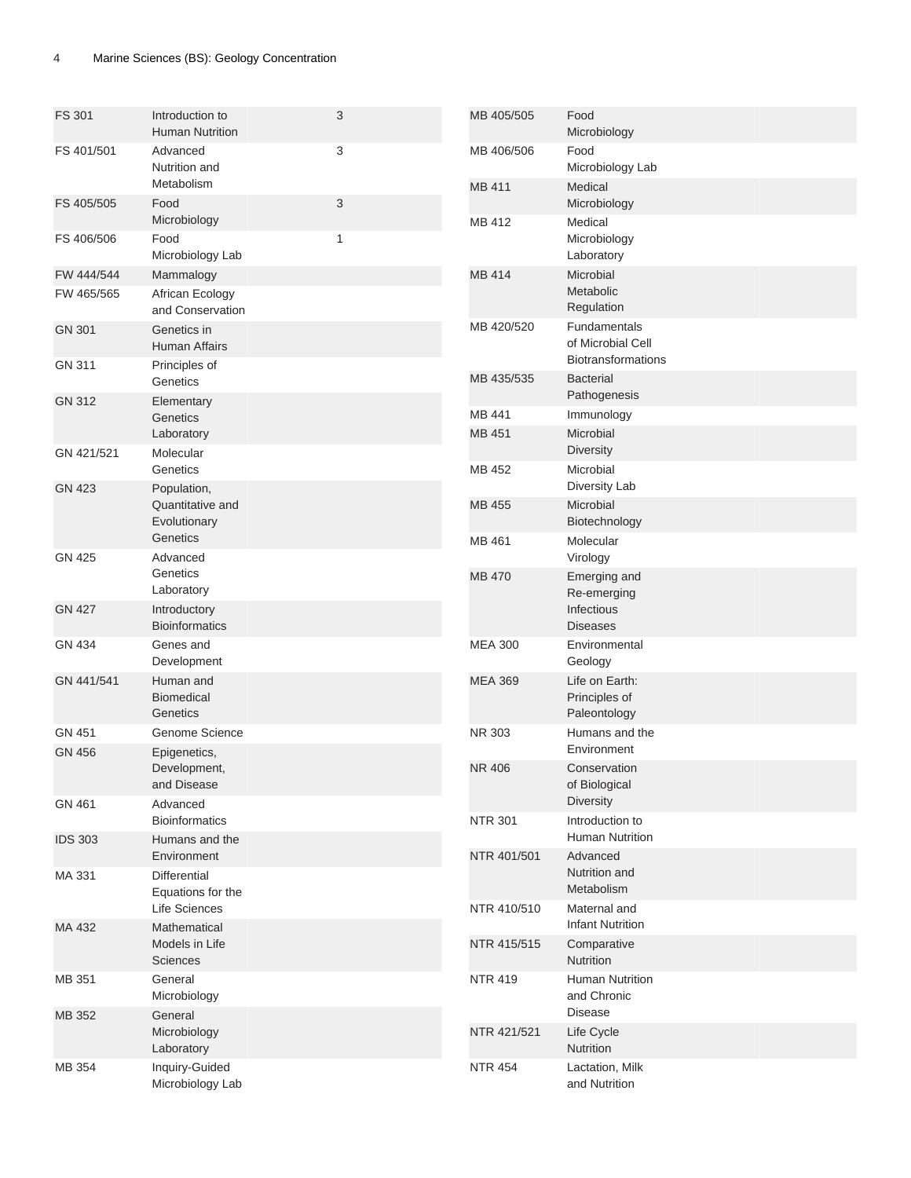| <b>FS 301</b>  | Introduction to<br><b>Human Nutrition</b>         | 3            | MB 405/505     | Food<br>Microbiology                                           |
|----------------|---------------------------------------------------|--------------|----------------|----------------------------------------------------------------|
| FS 401/501     | Advanced<br>Nutrition and                         | 3            | MB 406/506     | Food<br>Microbiology Lab                                       |
| FS 405/505     | Metabolism<br>Food                                | 3            | MB 411         | Medical<br>Microbiology                                        |
| FS 406/506     | Microbiology<br>Food<br>Microbiology Lab          | $\mathbf{1}$ | MB 412         | Medical<br>Microbiology<br>Laboratory                          |
| FW 444/544     | Mammalogy                                         |              | MB 414         | Microbial                                                      |
| FW 465/565     | African Ecology<br>and Conservation               |              |                | Metabolic<br>Regulation                                        |
| <b>GN 301</b>  | Genetics in<br>Human Affairs                      |              | MB 420/520     | Fundamentals<br>of Microbial Cell<br><b>Biotransformations</b> |
| GN 311         | Principles of<br>Genetics                         |              | MB 435/535     | <b>Bacterial</b><br>Pathogenesis                               |
| <b>GN 312</b>  | Elementary<br>Genetics                            |              | MB 441         | Immunology                                                     |
| GN 421/521     | Laboratory<br>Molecular                           |              | MB 451         | Microbial<br><b>Diversity</b>                                  |
| <b>GN 423</b>  | Genetics<br>Population,                           |              | MB 452         | Microbial<br>Diversity Lab                                     |
|                | Quantitative and<br>Evolutionary                  |              | MB 455         | Microbial<br>Biotechnology                                     |
|                | Genetics                                          |              | MB 461         | Molecular                                                      |
| <b>GN 425</b>  | Advanced<br>Genetics                              |              | <b>MB 470</b>  | Virology<br>Emerging and                                       |
|                | Laboratory                                        |              |                | Re-emerging                                                    |
| <b>GN 427</b>  | Introductory<br><b>Bioinformatics</b>             |              |                | Infectious<br><b>Diseases</b>                                  |
| <b>GN 434</b>  | Genes and<br>Development                          |              | <b>MEA 300</b> | Environmental<br>Geology                                       |
| GN 441/541     | Human and<br>Biomedical<br>Genetics               |              | <b>MEA 369</b> | Life on Earth:<br>Principles of<br>Paleontology                |
| GN 451         | Genome Science                                    |              | NR 303         | Humans and the                                                 |
| <b>GN 456</b>  | Epigenetics,                                      |              |                | Environment                                                    |
|                | Development,<br>and Disease                       |              | <b>NR 406</b>  | Conservation<br>of Biological<br><b>Diversity</b>              |
| GN 461         | Advanced<br><b>Bioinformatics</b>                 |              | <b>NTR 301</b> | Introduction to                                                |
| <b>IDS 303</b> | Humans and the<br>Environment                     |              | NTR 401/501    | Human Nutrition<br>Advanced                                    |
| MA 331         | <b>Differential</b><br>Equations for the          |              |                | Nutrition and<br>Metabolism                                    |
|                | Life Sciences                                     |              | NTR 410/510    | Maternal and<br><b>Infant Nutrition</b>                        |
| MA 432         | Mathematical<br>Models in Life<br><b>Sciences</b> |              | NTR 415/515    | Comparative<br>Nutrition                                       |
| MB 351         | General<br>Microbiology                           |              | <b>NTR 419</b> | Human Nutrition<br>and Chronic                                 |
| MB 352         | General                                           |              |                | <b>Disease</b>                                                 |
|                | Microbiology<br>Laboratory                        |              | NTR 421/521    | Life Cycle<br>Nutrition                                        |
| MB 354         | Inquiry-Guided<br>Microbiology Lab                |              | <b>NTR 454</b> | Lactation, Milk<br>and Nutrition                               |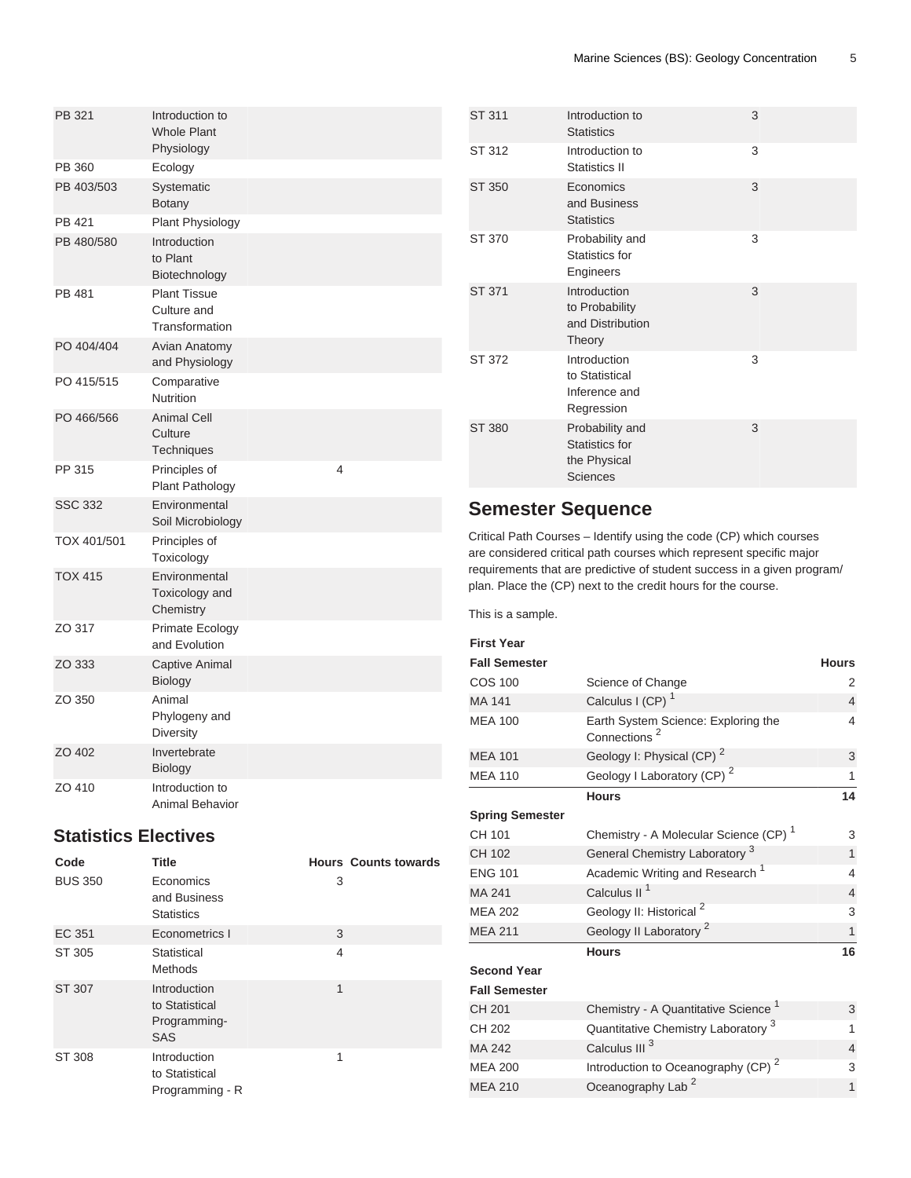| PB 321         | Introduction to<br><b>Whole Plant</b><br>Physiology  |
|----------------|------------------------------------------------------|
| PB 360         | Ecology                                              |
| PB 403/503     | Systematic<br>Botany                                 |
| PB 421         | Plant Physiology                                     |
| PB 480/580     | Introduction<br>to Plant<br>Biotechnology            |
| PB 481         | <b>Plant Tissue</b><br>Culture and<br>Transformation |
| PO 404/404     | Avian Anatomy<br>and Physiology                      |
| PO 415/515     | Comparative<br><b>Nutrition</b>                      |
| PO 466/566     | <b>Animal Cell</b><br>Culture<br><b>Techniques</b>   |
| PP 315         | $\overline{4}$<br>Principles of<br>Plant Pathology   |
| <b>SSC 332</b> | Environmental<br>Soil Microbiology                   |
| TOX 401/501    | Principles of<br>Toxicology                          |
| <b>TOX 415</b> | Environmental<br>Toxicology and<br>Chemistry         |
| ZO 317         | Primate Ecology<br>and Evolution                     |
| ZO 333         | <b>Captive Animal</b><br><b>Biology</b>              |
| ZO 350         | Animal<br>Phylogeny and<br>Diversity                 |
| ZO 402         | Invertebrate<br>Biology                              |
| ZO 410         | Introduction to<br>Animal Behavior                   |

### <span id="page-4-0"></span>**Statistics Electives**

| Code           | Title                                                        |   | <b>Hours Counts towards</b> |
|----------------|--------------------------------------------------------------|---|-----------------------------|
| <b>BUS 350</b> | Economics<br>and Business<br><b>Statistics</b>               | 3 |                             |
| EC 351         | Econometrics I                                               | 3 |                             |
| ST 305         | Statistical<br><b>Methods</b>                                | 4 |                             |
| ST 307         | Introduction<br>to Statistical<br>Programming-<br><b>SAS</b> | 1 |                             |
| ST 308         | Introduction<br>to Statistical<br>Programming - R            | 1 |                             |

| ST 311        | Introduction to<br><b>Statistics</b>                          | 3 |
|---------------|---------------------------------------------------------------|---|
| ST 312        | Introduction to<br>Statistics II                              | 3 |
| <b>ST 350</b> | Economics<br>and Business<br><b>Statistics</b>                | 3 |
| ST 370        | Probability and<br>Statistics for<br>Engineers                | 3 |
| ST 371        | Introduction<br>to Probability<br>and Distribution<br>Theory  | 3 |
| ST 372        | Introduction<br>to Statistical<br>Inference and<br>Regression | 3 |
| ST 380        | Probability and<br>Statistics for<br>the Physical<br>Sciences | 3 |

## **Semester Sequence**

Critical Path Courses – Identify using the code (CP) which courses are considered critical path courses which represent specific major requirements that are predictive of student success in a given program/ plan. Place the (CP) next to the credit hours for the course.

This is a sample.

| <b>First Year</b>      |                                                                 |                |
|------------------------|-----------------------------------------------------------------|----------------|
| <b>Fall Semester</b>   |                                                                 | <b>Hours</b>   |
| <b>COS 100</b>         | Science of Change                                               | 2              |
| MA 141                 | Calculus I (CP) <sup>1</sup>                                    | $\overline{4}$ |
| <b>MEA 100</b>         | Earth System Science: Exploring the<br>Connections <sup>2</sup> | 4              |
| <b>MEA 101</b>         | Geology I: Physical (CP) <sup>2</sup>                           | 3              |
| <b>MEA 110</b>         | Geology I Laboratory (CP) <sup>2</sup>                          | 1              |
|                        | <b>Hours</b>                                                    | 14             |
| <b>Spring Semester</b> |                                                                 |                |
| CH 101                 | Chemistry - A Molecular Science (CP) <sup>1</sup>               | 3              |
| CH 102                 | General Chemistry Laboratory <sup>3</sup>                       | $\mathbf{1}$   |
| <b>ENG 101</b>         | Academic Writing and Research <sup>1</sup>                      | 4              |
| MA 241                 | Calculus II <sup>1</sup>                                        | $\overline{4}$ |
| <b>MEA 202</b>         | Geology II: Historical <sup>2</sup>                             | 3              |
| <b>MEA 211</b>         | Geology II Laboratory <sup>2</sup>                              | $\overline{1}$ |
|                        | <b>Hours</b>                                                    | 16             |
| <b>Second Year</b>     |                                                                 |                |
| <b>Fall Semester</b>   |                                                                 |                |
| CH 201                 | Chemistry - A Quantitative Science <sup>1</sup>                 | 3              |
| CH 202                 | Quantitative Chemistry Laboratory <sup>3</sup>                  | 1              |
| MA 242                 | Calculus III <sup>3</sup>                                       | $\overline{4}$ |
| <b>MEA 200</b>         | Introduction to Oceanography (CP) <sup>2</sup>                  | 3              |
| <b>MEA 210</b>         | Oceanography Lab <sup>2</sup>                                   | $\mathbf{1}$   |
|                        |                                                                 |                |